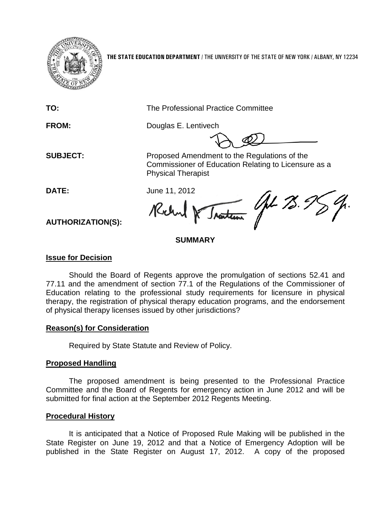

**THE STATE EDUCATION DEPARTMENT** / THE UNIVERSITY OF THE STATE OF NEW YORK / ALBANY, NY 12234

**TO:** The Professional Practice Committee

**FROM:** Douglas E. Lentivech

**SUBJECT:** Proposed Amendment to the Regulations of the Commissioner of Education Relating to Licensure as a Physical Therapist

**DATE:** June 11, 2012

JL 28. Kich

**AUTHORIZATION(S):**

# **SUMMARY**

## **Issue for Decision**

Should the Board of Regents approve the promulgation of sections 52.41 and 77.11 and the amendment of section 77.1 of the Regulations of the Commissioner of Education relating to the professional study requirements for licensure in physical therapy, the registration of physical therapy education programs, and the endorsement of physical therapy licenses issued by other jurisdictions?

# **Reason(s) for Consideration**

Required by State Statute and Review of Policy.

# **Proposed Handling**

The proposed amendment is being presented to the Professional Practice Committee and the Board of Regents for emergency action in June 2012 and will be submitted for final action at the September 2012 Regents Meeting.

# **Procedural History**

It is anticipated that a Notice of Proposed Rule Making will be published in the State Register on June 19, 2012 and that a Notice of Emergency Adoption will be published in the State Register on August 17, 2012. A copy of the proposed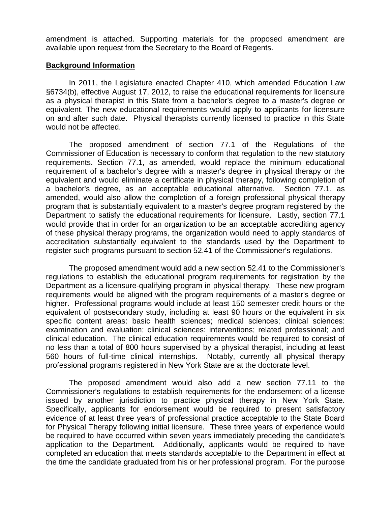amendment is attached. Supporting materials for the proposed amendment are available upon request from the Secretary to the Board of Regents.

#### **Background Information**

In 2011, the Legislature enacted Chapter 410, which amended Education Law §6734(b), effective August 17, 2012, to raise the educational requirements for licensure as a physical therapist in this State from a bachelor's degree to a master's degree or equivalent. The new educational requirements would apply to applicants for licensure on and after such date. Physical therapists currently licensed to practice in this State would not be affected.

The proposed amendment of section 77.1 of the Regulations of the Commissioner of Education is necessary to conform that regulation to the new statutory requirements. Section 77.1, as amended, would replace the minimum educational requirement of a bachelor's degree with a master's degree in physical therapy or the equivalent and would eliminate a certificate in physical therapy, following completion of a bachelor's degree, as an acceptable educational alternative. Section 77.1, as amended, would also allow the completion of a foreign professional physical therapy program that is substantially equivalent to a master's degree program registered by the Department to satisfy the educational requirements for licensure. Lastly, section 77.1 would provide that in order for an organization to be an acceptable accrediting agency of these physical therapy programs, the organization would need to apply standards of accreditation substantially equivalent to the standards used by the Department to register such programs pursuant to section 52.41 of the Commissioner's regulations.

The proposed amendment would add a new section 52.41 to the Commissioner's regulations to establish the educational program requirements for registration by the Department as a licensure-qualifying program in physical therapy. These new program requirements would be aligned with the program requirements of a master's degree or higher. Professional programs would include at least 150 semester credit hours or the equivalent of postsecondary study, including at least 90 hours or the equivalent in six specific content areas: basic health sciences; medical sciences; clinical sciences: examination and evaluation; clinical sciences: interventions; related professional; and clinical education. The clinical education requirements would be required to consist of no less than a total of 800 hours supervised by a physical therapist, including at least 560 hours of full-time clinical internships. Notably, currently all physical therapy professional programs registered in New York State are at the doctorate level.

The proposed amendment would also add a new section 77.11 to the Commissioner's regulations to establish requirements for the endorsement of a license issued by another jurisdiction to practice physical therapy in New York State. Specifically, applicants for endorsement would be required to present satisfactory evidence of at least three years of professional practice acceptable to the State Board for Physical Therapy following initial licensure. These three years of experience would be required to have occurred within seven years immediately preceding the candidate's application to the Department. Additionally, applicants would be required to have completed an education that meets standards acceptable to the Department in effect at the time the candidate graduated from his or her professional program. For the purpose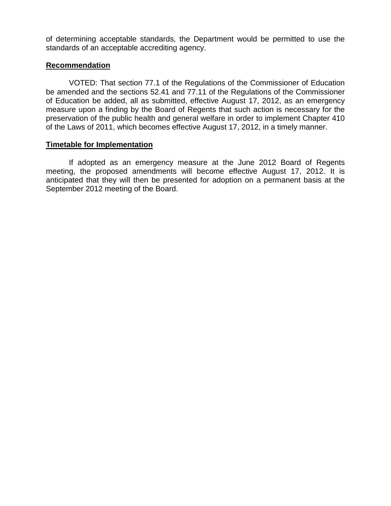of determining acceptable standards, the Department would be permitted to use the standards of an acceptable accrediting agency.

## **Recommendation**

VOTED: That section 77.1 of the Regulations of the Commissioner of Education be amended and the sections 52.41 and 77.11 of the Regulations of the Commissioner of Education be added, all as submitted, effective August 17, 2012, as an emergency measure upon a finding by the Board of Regents that such action is necessary for the preservation of the public health and general welfare in order to implement Chapter 410 of the Laws of 2011, which becomes effective August 17, 2012, in a timely manner.

## **Timetable for Implementation**

If adopted as an emergency measure at the June 2012 Board of Regents meeting, the proposed amendments will become effective August 17, 2012. It is anticipated that they will then be presented for adoption on a permanent basis at the September 2012 meeting of the Board.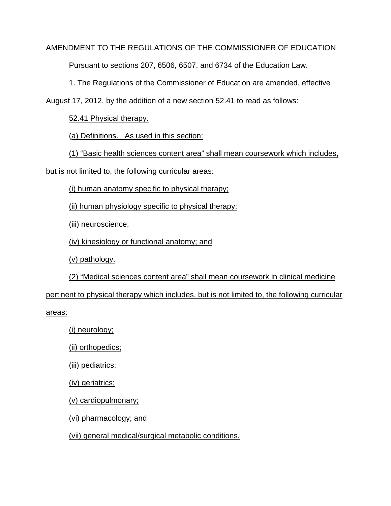## AMENDMENT TO THE REGULATIONS OF THE COMMISSIONER OF EDUCATION

Pursuant to sections 207, 6506, 6507, and 6734 of the Education Law.

1. The Regulations of the Commissioner of Education are amended, effective

August 17, 2012, by the addition of a new section 52.41 to read as follows:

52.41 Physical therapy.

(a) Definitions. As used in this section:

(1) "Basic health sciences content area" shall mean coursework which includes,

but is not limited to, the following curricular areas:

(i) human anatomy specific to physical therapy;

(ii) human physiology specific to physical therapy;

(iii) neuroscience;

(iv) kinesiology or functional anatomy; and

(v) pathology.

(2) "Medical sciences content area" shall mean coursework in clinical medicine pertinent to physical therapy which includes, but is not limited to, the following curricular areas:

(i) neurology;

(ii) orthopedics;

(iii) pediatrics;

(iv) geriatrics;

(v) cardiopulmonary;

(vi) pharmacology; and

(vii) general medical/surgical metabolic conditions.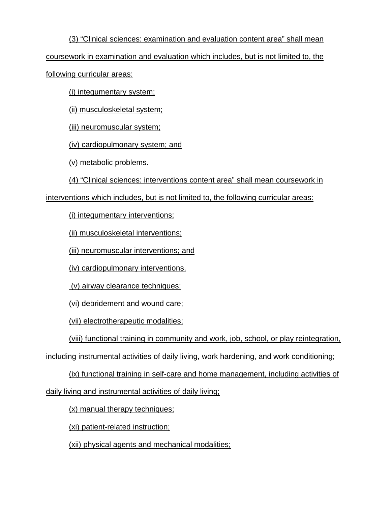(3) "Clinical sciences: examination and evaluation content area" shall mean coursework in examination and evaluation which includes, but is not limited to, the following curricular areas:

(i) integumentary system;

(ii) musculoskeletal system;

(iii) neuromuscular system;

(iv) cardiopulmonary system; and

(v) metabolic problems.

(4) "Clinical sciences: interventions content area" shall mean coursework in

interventions which includes, but is not limited to, the following curricular areas:

(i) integumentary interventions;

(ii) musculoskeletal interventions;

(iii) neuromuscular interventions; and

(iv) cardiopulmonary interventions.

(v) airway clearance techniques;

(vi) debridement and wound care;

(vii) electrotherapeutic modalities;

(viii) functional training in community and work, job, school, or play reintegration,

including instrumental activities of daily living, work hardening, and work conditioning;

(ix) functional training in self-care and home management, including activities of

daily living and instrumental activities of daily living;

(x) manual therapy techniques;

(xi) patient-related instruction;

(xii) physical agents and mechanical modalities;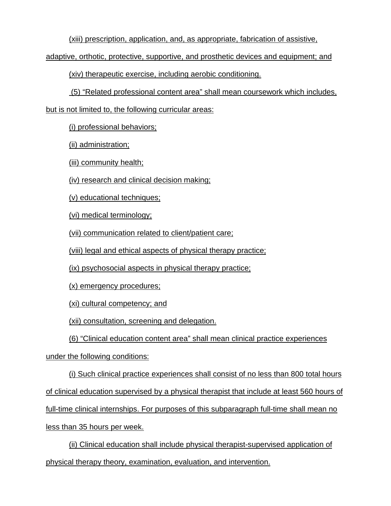(xiii) prescription, application, and, as appropriate, fabrication of assistive,

adaptive, orthotic, protective, supportive, and prosthetic devices and equipment; and

(xiv) therapeutic exercise, including aerobic conditioning.

(5) "Related professional content area" shall mean coursework which includes,

but is not limited to, the following curricular areas:

(i) professional behaviors;

(ii) administration;

(iii) community health;

(iv) research and clinical decision making;

(v) educational techniques;

(vi) medical terminology;

(vii) communication related to client/patient care;

(viii) legal and ethical aspects of physical therapy practice;

(ix) psychosocial aspects in physical therapy practice;

(x) emergency procedures;

(xi) cultural competency; and

(xii) consultation, screening and delegation.

(6) "Clinical education content area" shall mean clinical practice experiences

under the following conditions:

(i) Such clinical practice experiences shall consist of no less than 800 total hours of clinical education supervised by a physical therapist that include at least 560 hours of full-time clinical internships. For purposes of this subparagraph full-time shall mean no less than 35 hours per week.

(ii) Clinical education shall include physical therapist-supervised application of physical therapy theory, examination, evaluation, and intervention.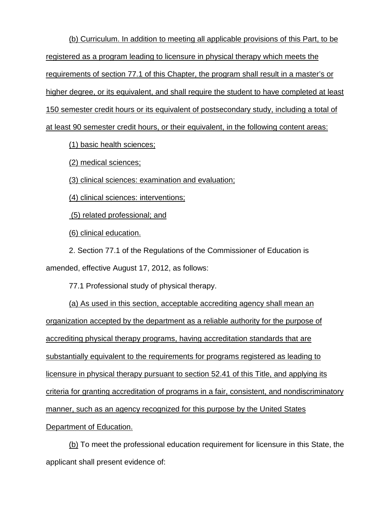(b) Curriculum. In addition to meeting all applicable provisions of this Part, to be registered as a program leading to licensure in physical therapy which meets the requirements of section 77.1 of this Chapter, the program shall result in a master's or higher degree, or its equivalent, and shall require the student to have completed at least 150 semester credit hours or its equivalent of postsecondary study, including a total of at least 90 semester credit hours, or their equivalent, in the following content areas:

(1) basic health sciences;

(2) medical sciences;

(3) clinical sciences: examination and evaluation;

(4) clinical sciences: interventions;

(5) related professional; and

(6) clinical education.

2. Section 77.1 of the Regulations of the Commissioner of Education is

amended, effective August 17, 2012, as follows:

77.1 Professional study of physical therapy.

(a) As used in this section, acceptable accrediting agency shall mean an organization accepted by the department as a reliable authority for the purpose of accrediting physical therapy programs, having accreditation standards that are substantially equivalent to the requirements for programs registered as leading to licensure in physical therapy pursuant to section 52.41 of this Title, and applying its criteria for granting accreditation of programs in a fair, consistent, and nondiscriminatory manner, such as an agency recognized for this purpose by the United States Department of Education.

(b) To meet the professional education requirement for licensure in this State, the applicant shall present evidence of: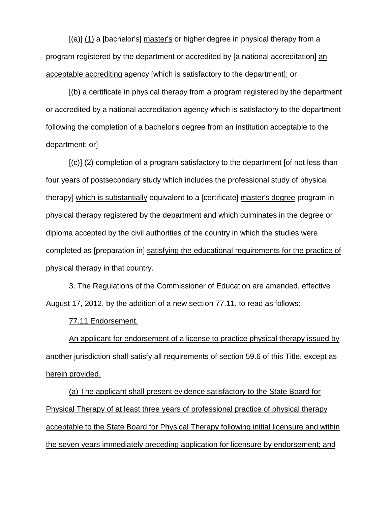[(a)] (1) a [bachelor's] master's or higher degree in physical therapy from a program registered by the department or accredited by [a national accreditation] an acceptable accrediting agency [which is satisfactory to the department]; or

[(b) a certificate in physical therapy from a program registered by the department or accredited by a national accreditation agency which is satisfactory to the department following the completion of a bachelor's degree from an institution acceptable to the department; or]

[(c)] (2) completion of a program satisfactory to the department [of not less than four years of postsecondary study which includes the professional study of physical therapy] which is substantially equivalent to a [certificate] master's degree program in physical therapy registered by the department and which culminates in the degree or diploma accepted by the civil authorities of the country in which the studies were completed as [preparation in] satisfying the educational requirements for the practice of physical therapy in that country.

3. The Regulations of the Commissioner of Education are amended, effective August 17, 2012, by the addition of a new section 77.11, to read as follows:

77.11 Endorsement.

An applicant for endorsement of a license to practice physical therapy issued by another jurisdiction shall satisfy all requirements of section 59.6 of this Title, except as herein provided.

(a) The applicant shall present evidence satisfactory to the State Board for Physical Therapy of at least three years of professional practice of physical therapy acceptable to the State Board for Physical Therapy following initial licensure and within the seven years immediately preceding application for licensure by endorsement; and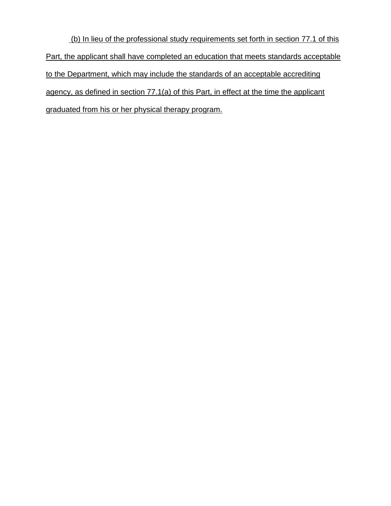(b) In lieu of the professional study requirements set forth in section 77.1 of this Part, the applicant shall have completed an education that meets standards acceptable to the Department, which may include the standards of an acceptable accrediting agency, as defined in section 77.1(a) of this Part, in effect at the time the applicant graduated from his or her physical therapy program.